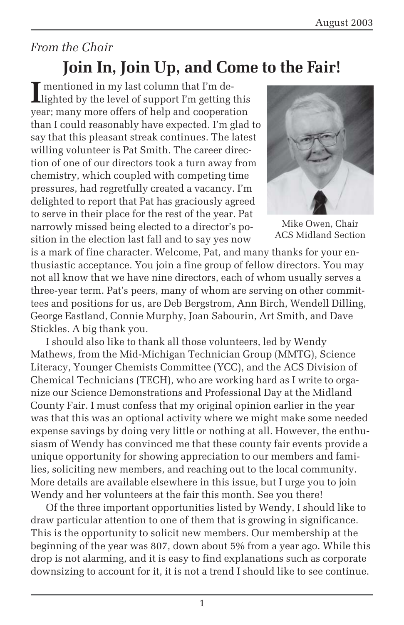### *From the Chair* **Join In, Join Up, and Come to the Fair!**

**I** mentioned in my last column that I'm de-<br>lighted by the level of support I'm getting lighted by the level of support I'm getting this year; many more offers of help and cooperation than I could reasonably have expected. I'm glad to say that this pleasant streak continues. The latest willing volunteer is Pat Smith. The career direction of one of our directors took a turn away from chemistry, which coupled with competing time pressures, had regretfully created a vacancy. I'm delighted to report that Pat has graciously agreed to serve in their place for the rest of the year. Pat narrowly missed being elected to a director's position in the election last fall and to say yes now



Mike Owen, Chair ACS Midland Section

is a mark of fine character. Welcome, Pat, and many thanks for your enthusiastic acceptance. You join a fine group of fellow directors. You may not all know that we have nine directors, each of whom usually serves a three-year term. Pat's peers, many of whom are serving on other committees and positions for us, are Deb Bergstrom, Ann Birch, Wendell Dilling, George Eastland, Connie Murphy, Joan Sabourin, Art Smith, and Dave Stickles. A big thank you.

I should also like to thank all those volunteers, led by Wendy Mathews, from the Mid-Michigan Technician Group (MMTG), Science Literacy, Younger Chemists Committee (YCC), and the ACS Division of Chemical Technicians (TECH), who are working hard as I write to organize our Science Demonstrations and Professional Day at the Midland County Fair. I must confess that my original opinion earlier in the year was that this was an optional activity where we might make some needed expense savings by doing very little or nothing at all. However, the enthusiasm of Wendy has convinced me that these county fair events provide a unique opportunity for showing appreciation to our members and families, soliciting new members, and reaching out to the local community. More details are available elsewhere in this issue, but I urge you to join Wendy and her volunteers at the fair this month. See you there!

Of the three important opportunities listed by Wendy, I should like to draw particular attention to one of them that is growing in significance. This is the opportunity to solicit new members. Our membership at the beginning of the year was 807, down about 5% from a year ago. While this drop is not alarming, and it is easy to find explanations such as corporate downsizing to account for it, it is not a trend I should like to see continue.

1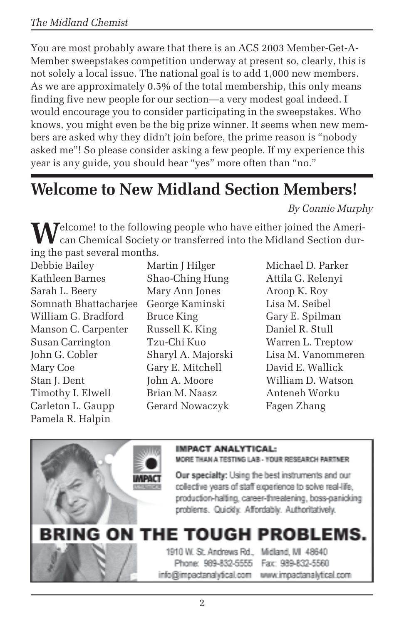You are most probably aware that there is an ACS 2003 Member-Get-A-Member sweepstakes competition underway at present so, clearly, this is not solely a local issue. The national goal is to add 1,000 new members. As we are approximately 0.5% of the total membership, this only means finding five new people for our section—a very modest goal indeed. I would encourage you to consider participating in the sweepstakes. Who knows, you might even be the big prize winner. It seems when new members are asked why they didn't join before, the prime reason is "nobody asked me"! So please consider asking a few people. If my experience this year is any guide, you should hear "yes" more often than "no."

## **Welcome to New Midland Section Members!**

*By Connie Murphy*

**M** Jelcome! to the following people who have either joined the American Chemical Society or transferred into the Midland Section during the past several months.

Debbie Bailey Martin J Hilger Michael D. Parker Kathleen Barnes Shao-Ching Hung Attila G. Relenyi Sarah L. Beery Mary Ann Jones Aroop K. Roy Somnath Bhattacharjee George Kaminski Lisa M. Seibel William G. Bradford Bruce King Gary E. Spilman Manson C. Carpenter Russell K. King Daniel R. Stull Susan Carrington Tzu-Chi Kuo Warren L. Treptow John G. Cobler Sharyl A. Majorski Lisa M. Vanommeren Mary Coe Gary E. Mitchell David E. Wallick Stan J. Dent John A. Moore William D. Watson Timothy I. Elwell Brian M. Naasz Anteneh Worku Carleton L. Gaupp Gerard Nowaczyk Fagen Zhang Pamela R. Halpin



MORE THAN A TESTING LAB - YOUR RESEARCH PARTNER

Our specialty: Using the best instruments and our collective years of staff experience to solve real-life. production-halting, career-threatening, boss-panicking problems. Quickly. Affordably. Authoritatively.

# **BRING ON THE TOUGH PROBLEMS.**

1910 W. St. Andrews Rd., Midland, MI 48640 Phone: 989-832-5555 info@impactanalytical.com

Fax: 989-832-5560 www.impactanalytical.com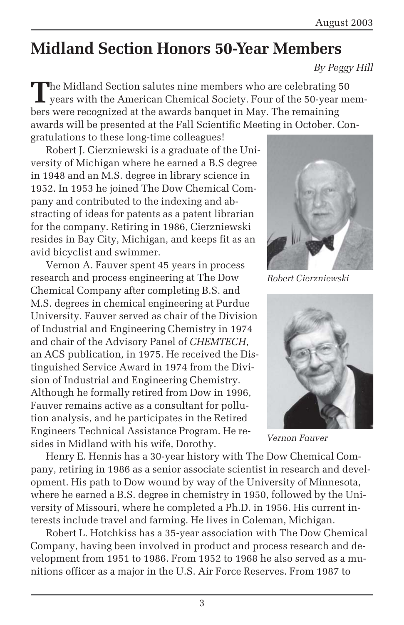## **Midland Section Honors 50-Year Members**

*By Peggy Hill*

**T**he Midland Section salutes nine members who are celebrating 50 years with the American Chemical Society. Four of the 50-year members were recognized at the awards banquet in May. The remaining awards will be presented at the Fall Scientific Meeting in October. Con-

gratulations to these long-time colleagues! Robert J. Cierzniewski is a graduate of the University of Michigan where he earned a B.S degree in 1948 and an M.S. degree in library science in 1952. In 1953 he joined The Dow Chemical Company and contributed to the indexing and abstracting of ideas for patents as a patent librarian for the company. Retiring in 1986, Cierzniewski resides in Bay City, Michigan, and keeps fit as an avid bicyclist and swimmer.

Vernon A. Fauver spent 45 years in process research and process engineering at The Dow Chemical Company after completing B.S. and M.S. degrees in chemical engineering at Purdue University. Fauver served as chair of the Division of Industrial and Engineering Chemistry in 1974 and chair of the Advisory Panel of *CHEMTECH*, an ACS publication, in 1975. He received the Distinguished Service Award in 1974 from the Division of Industrial and Engineering Chemistry. Although he formally retired from Dow in 1996, Fauver remains active as a consultant for pollution analysis, and he participates in the Retired Engineers Technical Assistance Program. He resides in Midland with his wife, Dorothy.



*Robert Cierzniewski*



*Vernon Fauver*

Henry E. Hennis has a 30-year history with The Dow Chemical Company, retiring in 1986 as a senior associate scientist in research and development. His path to Dow wound by way of the University of Minnesota, where he earned a B.S. degree in chemistry in 1950, followed by the University of Missouri, where he completed a Ph.D. in 1956. His current interests include travel and farming. He lives in Coleman, Michigan.

Robert L. Hotchkiss has a 35-year association with The Dow Chemical Company, having been involved in product and process research and development from 1951 to 1986. From 1952 to 1968 he also served as a munitions officer as a major in the U.S. Air Force Reserves. From 1987 to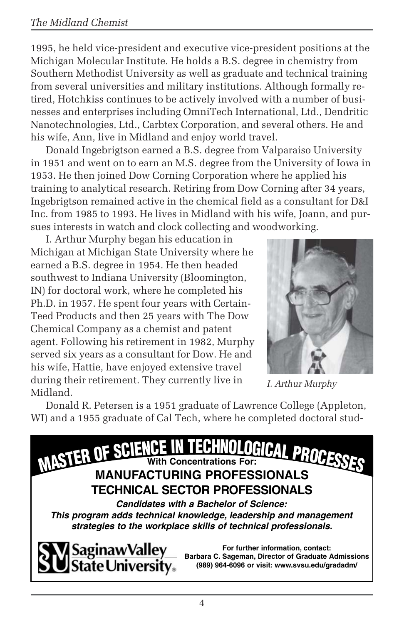1995, he held vice-president and executive vice-president positions at the Michigan Molecular Institute. He holds a B.S. degree in chemistry from Southern Methodist University as well as graduate and technical training from several universities and military institutions. Although formally retired, Hotchkiss continues to be actively involved with a number of businesses and enterprises including OmniTech International, Ltd., Dendritic Nanotechnologies, Ltd., Carbtex Corporation, and several others. He and his wife, Ann, live in Midland and enjoy world travel.

Donald Ingebrigtson earned a B.S. degree from Valparaiso University in 1951 and went on to earn an M.S. degree from the University of Iowa in 1953. He then joined Dow Corning Corporation where he applied his training to analytical research. Retiring from Dow Corning after 34 years, Ingebrigtson remained active in the chemical field as a consultant for D&I Inc. from 1985 to 1993. He lives in Midland with his wife, Joann, and pursues interests in watch and clock collecting and woodworking.

I. Arthur Murphy began his education in Michigan at Michigan State University where he earned a B.S. degree in 1954. He then headed southwest to Indiana University (Bloomington, IN) for doctoral work, where he completed his Ph.D. in 1957. He spent four years with Certain-Teed Products and then 25 years with The Dow Chemical Company as a chemist and patent agent. Following his retirement in 1982, Murphy served six years as a consultant for Dow. He and his wife, Hattie, have enjoyed extensive travel during their retirement. They currently live in Midland.



*I. Arthur Murphy*

Donald R. Petersen is a 1951 graduate of Lawrence College (Appleton, WI) and a 1955 graduate of Cal Tech, where he completed doctoral stud-

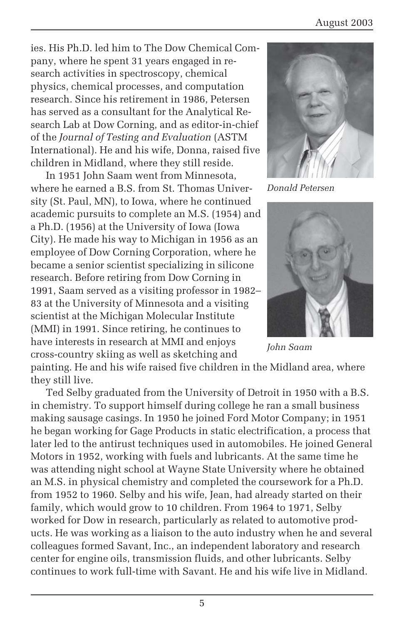ies. His Ph.D. led him to The Dow Chemical Company, where he spent 31 years engaged in research activities in spectroscopy, chemical physics, chemical processes, and computation research. Since his retirement in 1986, Petersen has served as a consultant for the Analytical Research Lab at Dow Corning, and as editor-in-chief of the *Journal of Testing and Evaluation* (ASTM International). He and his wife, Donna, raised five children in Midland, where they still reside.

In 1951 John Saam went from Minnesota, where he earned a B.S. from St. Thomas University (St. Paul, MN), to Iowa, where he continued academic pursuits to complete an M.S. (1954) and a Ph.D. (1956) at the University of Iowa (Iowa City). He made his way to Michigan in 1956 as an employee of Dow Corning Corporation, where he became a senior scientist specializing in silicone research. Before retiring from Dow Corning in 1991, Saam served as a visiting professor in 1982– 83 at the University of Minnesota and a visiting scientist at the Michigan Molecular Institute (MMI) in 1991. Since retiring, he continues to have interests in research at MMI and enjoys cross-country skiing as well as sketching and



*Donald Petersen*



*John Saam*

painting. He and his wife raised five children in the Midland area, where they still live.

Ted Selby graduated from the University of Detroit in 1950 with a B.S. in chemistry. To support himself during college he ran a small business making sausage casings. In 1950 he joined Ford Motor Company; in 1951 he began working for Gage Products in static electrification, a process that later led to the antirust techniques used in automobiles. He joined General Motors in 1952, working with fuels and lubricants. At the same time he was attending night school at Wayne State University where he obtained an M.S. in physical chemistry and completed the coursework for a Ph.D. from 1952 to 1960. Selby and his wife, Jean, had already started on their family, which would grow to 10 children. From 1964 to 1971, Selby worked for Dow in research, particularly as related to automotive products. He was working as a liaison to the auto industry when he and several colleagues formed Savant, Inc., an independent laboratory and research center for engine oils, transmission fluids, and other lubricants. Selby continues to work full-time with Savant. He and his wife live in Midland.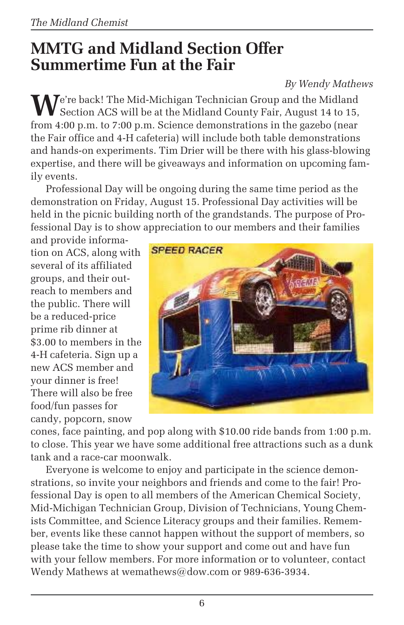## **MMTG and Midland Section Offer Summertime Fun at the Fair**

#### *By Wendy Mathews*

We're back! The Mid-Michigan Technician Group and the Midland Section ACS will be at the Midland County Fair, August 14 to 15, from 4:00 p.m. to 7:00 p.m. Science demonstrations in the gazebo (near the Fair office and 4-H cafeteria) will include both table demonstrations and hands-on experiments. Tim Drier will be there with his glass-blowing expertise, and there will be giveaways and information on upcoming family events.

Professional Day will be ongoing during the same time period as the demonstration on Friday, August 15. Professional Day activities will be held in the picnic building north of the grandstands. The purpose of Professional Day is to show appreciation to our members and their families

and provide information on ACS, along with several of its affiliated groups, and their outreach to members and the public. There will be a reduced-price prime rib dinner at \$3.00 to members in the 4-H cafeteria. Sign up a new ACS member and your dinner is free! There will also be free food/fun passes for candy, popcorn, snow



cones, face painting, and pop along with \$10.00 ride bands from 1:00 p.m. to close. This year we have some additional free attractions such as a dunk tank and a race-car moonwalk.

Everyone is welcome to enjoy and participate in the science demonstrations, so invite your neighbors and friends and come to the fair! Professional Day is open to all members of the American Chemical Society, Mid-Michigan Technician Group, Division of Technicians, Young Chemists Committee, and Science Literacy groups and their families. Remember, events like these cannot happen without the support of members, so please take the time to show your support and come out and have fun with your fellow members. For more information or to volunteer, contact Wendy Mathews at wemathews@dow.com or 989-636-3934.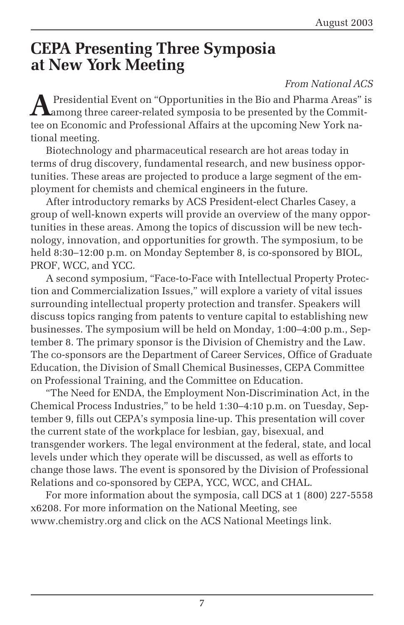### **CEPA Presenting Three Symposia at New York Meeting**

#### *From National ACS*

**A** Presidential Event on "Opportunities in the Bio and Pharma Areas" is among three career-related symposia to be presented by the Committee on Economic and Professional Affairs at the upcoming New York national meeting.

Biotechnology and pharmaceutical research are hot areas today in terms of drug discovery, fundamental research, and new business opportunities. These areas are projected to produce a large segment of the employment for chemists and chemical engineers in the future.

After introductory remarks by ACS President-elect Charles Casey, a group of well-known experts will provide an overview of the many opportunities in these areas. Among the topics of discussion will be new technology, innovation, and opportunities for growth. The symposium, to be held 8:30–12:00 p.m. on Monday September 8, is co-sponsored by BIOL, PROF, WCC, and YCC.

A second symposium, "Face-to-Face with Intellectual Property Protection and Commercialization Issues," will explore a variety of vital issues surrounding intellectual property protection and transfer. Speakers will discuss topics ranging from patents to venture capital to establishing new businesses. The symposium will be held on Monday, 1:00–4:00 p.m., September 8. The primary sponsor is the Division of Chemistry and the Law. The co-sponsors are the Department of Career Services, Office of Graduate Education, the Division of Small Chemical Businesses, CEPA Committee on Professional Training, and the Committee on Education.

"The Need for ENDA, the Employment Non-Discrimination Act, in the Chemical Process Industries," to be held 1:30–4:10 p.m. on Tuesday, September 9, fills out CEPA's symposia line-up. This presentation will cover the current state of the workplace for lesbian, gay, bisexual, and transgender workers. The legal environment at the federal, state, and local levels under which they operate will be discussed, as well as efforts to change those laws. The event is sponsored by the Division of Professional Relations and co-sponsored by CEPA, YCC, WCC, and CHAL.

For more information about the symposia, call DCS at 1 (800) 227-5558 x6208. For more information on the National Meeting, see www.chemistry.org and click on the ACS National Meetings link.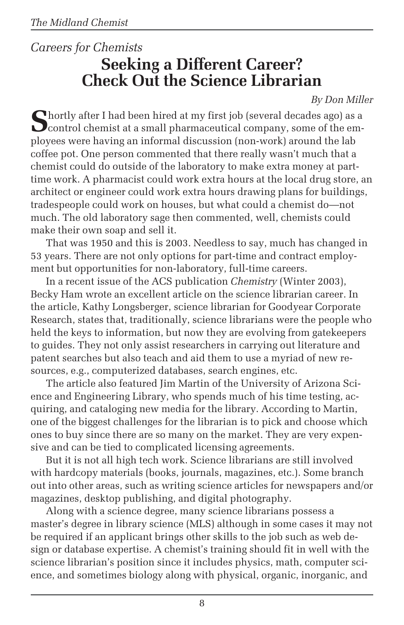### *Careers for Chemists* **Seeking a Different Career? Check Out the Science Librarian**

*By Don Miller*

**S**hortly after I had been hired at my first job (several decades ago) as a  $\sum$  control chemist at a small pharmaceutical company, some of the employees were having an informal discussion (non-work) around the lab coffee pot. One person commented that there really wasn't much that a chemist could do outside of the laboratory to make extra money at parttime work. A pharmacist could work extra hours at the local drug store, an architect or engineer could work extra hours drawing plans for buildings, tradespeople could work on houses, but what could a chemist do—not much. The old laboratory sage then commented, well, chemists could make their own soap and sell it.

That was 1950 and this is 2003. Needless to say, much has changed in 53 years. There are not only options for part-time and contract employment but opportunities for non-laboratory, full-time careers.

In a recent issue of the ACS publication *Chemistry* (Winter 2003), Becky Ham wrote an excellent article on the science librarian career. In the article, Kathy Longsberger, science librarian for Goodyear Corporate Research, states that, traditionally, science librarians were the people who held the keys to information, but now they are evolving from gatekeepers to guides. They not only assist researchers in carrying out literature and patent searches but also teach and aid them to use a myriad of new resources, e.g., computerized databases, search engines, etc.

The article also featured Jim Martin of the University of Arizona Science and Engineering Library, who spends much of his time testing, acquiring, and cataloging new media for the library. According to Martin, one of the biggest challenges for the librarian is to pick and choose which ones to buy since there are so many on the market. They are very expensive and can be tied to complicated licensing agreements.

But it is not all high tech work. Science librarians are still involved with hardcopy materials (books, journals, magazines, etc.). Some branch out into other areas, such as writing science articles for newspapers and/or magazines, desktop publishing, and digital photography.

Along with a science degree, many science librarians possess a master's degree in library science (MLS) although in some cases it may not be required if an applicant brings other skills to the job such as web design or database expertise. A chemist's training should fit in well with the science librarian's position since it includes physics, math, computer science, and sometimes biology along with physical, organic, inorganic, and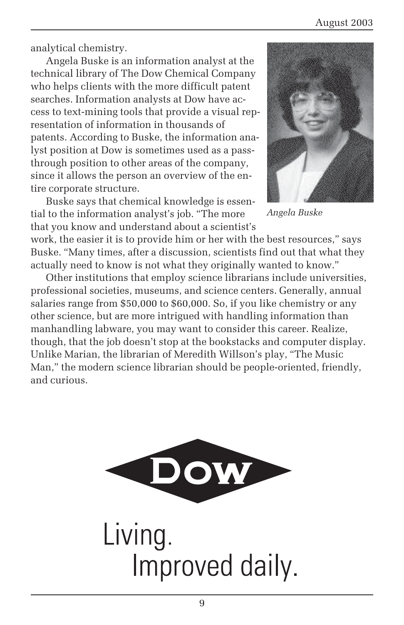analytical chemistry.

Angela Buske is an information analyst at the technical library of The Dow Chemical Company who helps clients with the more difficult patent searches. Information analysts at Dow have access to text-mining tools that provide a visual representation of information in thousands of patents. According to Buske, the information analyst position at Dow is sometimes used as a passthrough position to other areas of the company, since it allows the person an overview of the entire corporate structure.

Buske says that chemical knowledge is essential to the information analyst's job. "The more that you know and understand about a scientist's



*Angela Buske*

work, the easier it is to provide him or her with the best resources," says Buske. "Many times, after a discussion, scientists find out that what they actually need to know is not what they originally wanted to know."

Other institutions that employ science librarians include universities, professional societies, museums, and science centers. Generally, annual salaries range from \$50,000 to \$60,000. So, if you like chemistry or any other science, but are more intrigued with handling information than manhandling labware, you may want to consider this career. Realize, though, that the job doesn't stop at the bookstacks and computer display. Unlike Marian, the librarian of Meredith Willson's play, "The Music Man," the modern science librarian should be people-oriented, friendly, and curious.



Living. Improved daily.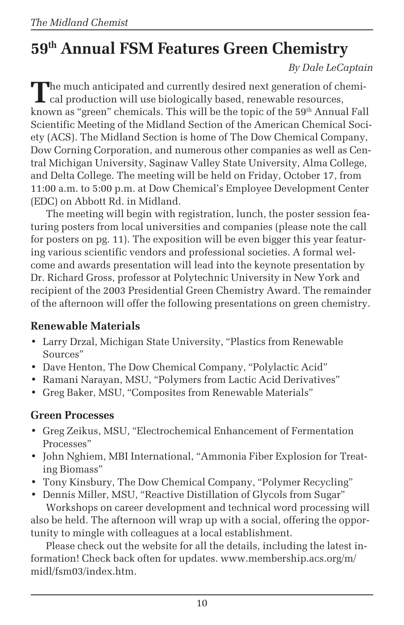# **59th Annual FSM Features Green Chemistry**

*By Dale LeCaptain*

The much anticipated and currently desired next generation of chemi-**L** cal production will use biologically based, renewable resources, known as "green" chemicals. This will be the topic of the 59<sup>th</sup> Annual Fall Scientific Meeting of the Midland Section of the American Chemical Society (ACS). The Midland Section is home of The Dow Chemical Company, Dow Corning Corporation, and numerous other companies as well as Central Michigan University, Saginaw Valley State University, Alma College, and Delta College. The meeting will be held on Friday, October 17, from 11:00 a.m. to 5:00 p.m. at Dow Chemical's Employee Development Center (EDC) on Abbott Rd. in Midland.

The meeting will begin with registration, lunch, the poster session featuring posters from local universities and companies (please note the call for posters on pg. 11). The exposition will be even bigger this year featuring various scientific vendors and professional societies. A formal welcome and awards presentation will lead into the keynote presentation by Dr. Richard Gross, professor at Polytechnic University in New York and recipient of the 2003 Presidential Green Chemistry Award. The remainder of the afternoon will offer the following presentations on green chemistry.

#### **Renewable Materials**

- Larry Drzal, Michigan State University, "Plastics from Renewable Sources"
- Dave Henton, The Dow Chemical Company, "Polylactic Acid"
- Ramani Narayan, MSU, "Polymers from Lactic Acid Derivatives"
- Greg Baker, MSU, "Composites from Renewable Materials"

#### **Green Processes**

- Greg Zeikus, MSU, "Electrochemical Enhancement of Fermentation Processes"
- John Nghiem, MBI International, "Ammonia Fiber Explosion for Treating Biomass"
- Tony Kinsbury, The Dow Chemical Company, "Polymer Recycling"

• Dennis Miller, MSU, "Reactive Distillation of Glycols from Sugar" Workshops on career development and technical word processing will also be held. The afternoon will wrap up with a social, offering the opportunity to mingle with colleagues at a local establishment.

Please check out the website for all the details, including the latest information! Check back often for updates. www.membership.acs.org/m/ midl/fsm03/index.htm.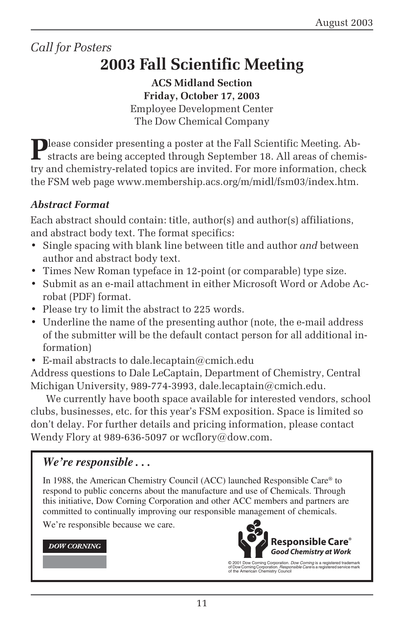### *Call for Posters*

# **2003 Fall Scientific Meeting**

**ACS Midland Section Friday, October 17, 2003** Employee Development Center The Dow Chemical Company

Please consider presenting a poster at the Fall Scientific Meeting. Abstracts are being accepted through September 18. All areas of chemistry and chemistry-related topics are invited. For more information, check the FSM web page www.membership.acs.org/m/midl/fsm03/index.htm.

#### *Abstract Format*

Each abstract should contain: title, author(s) and author(s) affiliations, and abstract body text. The format specifics:

- Single spacing with blank line between title and author *and* between author and abstract body text.
- Times New Roman typeface in 12-point (or comparable) type size.
- Submit as an e-mail attachment in either Microsoft Word or Adobe Acrobat (PDF) format.
- Please try to limit the abstract to 225 words.
- Underline the name of the presenting author (note, the e-mail address of the submitter will be the default contact person for all additional information)
- E-mail abstracts to dale.lecaptain@cmich.edu

Address questions to Dale LeCaptain, Department of Chemistry, Central Michigan University, 989-774-3993, dale.lecaptain@cmich.edu.

We currently have booth space available for interested vendors, school clubs, businesses, etc. for this year's FSM exposition. Space is limited so don't delay. For further details and pricing information, please contact Wendy Flory at 989-636-5097 or wcflory@dow.com.

#### *We're responsible . . .*

In 1988, the American Chemistry Council (ACC) launched Responsible Care® to respond to public concerns about the manufacture and use of Chemicals. Through this initiative, Dow Corning Corporation and other ACC members and partners are committed to continually improving our responsible management of chemicals.

We're responsible because we care.

#### **DOW CORNING**



© 2001 Dow Corning Corporation. *Dow Corning* is a registered trademark<br>of Dow Corning Corporation. *Responsible Care* is a registered service mark<br>of the American Chemistry Council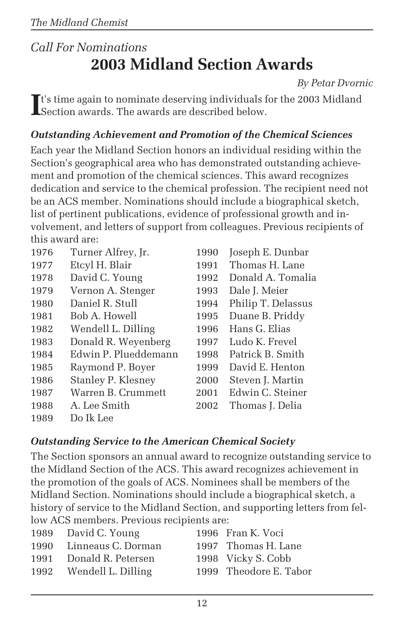### *Call For Nominations* **2003 Midland Section Awards**

*By Petar Dvornic*

**I**<sup>t's</sup> time again to nominate deserving individuals for the 2003 Midland Section awards. The awards are described below. Section awards. The awards are described below.

#### *Outstanding Achievement and Promotion of the Chemical Sciences*

Each year the Midland Section honors an individual residing within the Section's geographical area who has demonstrated outstanding achievement and promotion of the chemical sciences. This award recognizes dedication and service to the chemical profession. The recipient need not be an ACS member. Nominations should include a biographical sketch, list of pertinent publications, evidence of professional growth and involvement, and letters of support from colleagues. Previous recipients of this award are:

| 1976 | Turner Alfrey, Jr.   | 1990 | Joseph E. Dunbar   |
|------|----------------------|------|--------------------|
| 1977 | Etcyl H. Blair       | 1991 | Thomas H. Lane     |
| 1978 | David C. Young       | 1992 | Donald A. Tomalia  |
| 1979 | Vernon A. Stenger    | 1993 | Dale J. Meier      |
| 1980 | Daniel R. Stull      | 1994 | Philip T. Delassus |
| 1981 | Bob A. Howell        | 1995 | Duane B. Priddy    |
| 1982 | Wendell L. Dilling   | 1996 | Hans G. Elias      |
| 1983 | Donald R. Weyenberg  | 1997 | Ludo K. Frevel     |
| 1984 | Edwin P. Plueddemann | 1998 | Patrick B. Smith   |
| 1985 | Raymond P. Boyer     | 1999 | David E. Henton    |
| 1986 | Stanley P. Klesney   | 2000 | Steven J. Martin   |
| 1987 | Warren B. Crummett   | 2001 | Edwin C. Steiner   |
| 1988 | A. Lee Smith         | 2002 | Thomas J. Delia    |
| 1989 | Do Ik Lee            |      |                    |

#### *Outstanding Service to the American Chemical Society*

The Section sponsors an annual award to recognize outstanding service to the Midland Section of the ACS. This award recognizes achievement in the promotion of the goals of ACS. Nominees shall be members of the Midland Section. Nominations should include a biographical sketch, a history of service to the Midland Section, and supporting letters from fellow ACS members. Previous recipients are:

| 1989 David C. Young     | 1996 Fran K. Voci      |
|-------------------------|------------------------|
| 1990 Linneaus C. Dorman | 1997 Thomas H. Lane    |
| Donald R. Petersen      | 1998 Vicky S. Cobb     |
| 1992 Wendell L. Dilling | 1999 Theodore E. Tabor |
|                         |                        |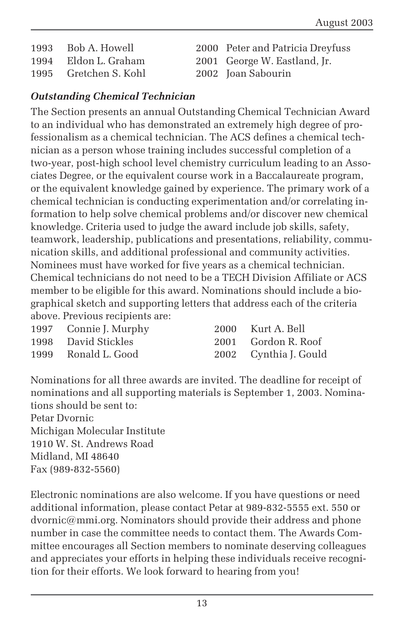1993 Bob A. Howell 2000 Peter and Patricia Dreyfuss 1994 Eldon L. Graham 2001 George W. Eastland, Jr. 1995 Gretchen S. Kohl 2002 Joan Sabourin

- 
- 
- 
- 

#### *Outstanding Chemical Technician*

The Section presents an annual Outstanding Chemical Technician Award to an individual who has demonstrated an extremely high degree of professionalism as a chemical technician. The ACS defines a chemical technician as a person whose training includes successful completion of a two-year, post-high school level chemistry curriculum leading to an Associates Degree, or the equivalent course work in a Baccalaureate program, or the equivalent knowledge gained by experience. The primary work of a chemical technician is conducting experimentation and/or correlating information to help solve chemical problems and/or discover new chemical knowledge. Criteria used to judge the award include job skills, safety, teamwork, leadership, publications and presentations, reliability, communication skills, and additional professional and community activities. Nominees must have worked for five years as a chemical technician. Chemical technicians do not need to be a TECH Division Affiliate or ACS member to be eligible for this award. Nominations should include a biographical sketch and supporting letters that address each of the criteria above. Previous recipients are:

| 1997 Connie J. Murphy | 2000 Kurt A. Bell     |
|-----------------------|-----------------------|
| 1998 David Stickles   | 2001 Gordon R. Roof   |
| 1999 Ronald L. Good   | 2002 Cynthia J. Gould |

Nominations for all three awards are invited. The deadline for receipt of nominations and all supporting materials is September 1, 2003. Nominations should be sent to: Petar Dvornic

Michigan Molecular Institute 1910 W. St. Andrews Road Midland, MI 48640 Fax (989-832-5560)

Electronic nominations are also welcome. If you have questions or need additional information, please contact Petar at 989-832-5555 ext. 550 or dvornic@mmi.org. Nominators should provide their address and phone number in case the committee needs to contact them. The Awards Committee encourages all Section members to nominate deserving colleagues and appreciates your efforts in helping these individuals receive recognition for their efforts. We look forward to hearing from you!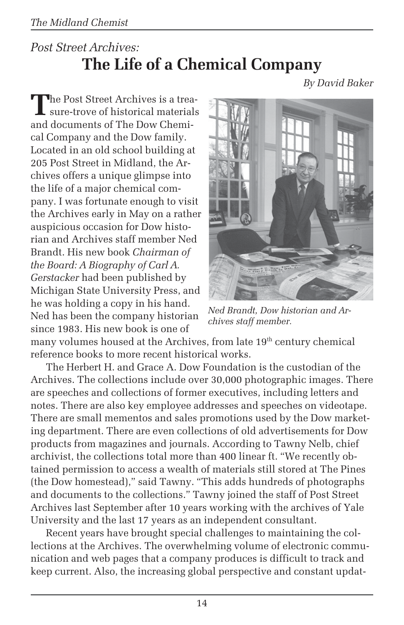### *Post Street Archives:* **The Life of a Chemical Company**

*By David Baker*

The Post Street Archives is a treasure-trove of historical materials and documents of The Dow Chemical Company and the Dow family. Located in an old school building at 205 Post Street in Midland, the Archives offers a unique glimpse into the life of a major chemical company. I was fortunate enough to visit the Archives early in May on a rather auspicious occasion for Dow historian and Archives staff member Ned Brandt. His new book *Chairman of the Board: A Biography of Carl A. Gerstacker* had been published by Michigan State University Press, and he was holding a copy in his hand. Ned has been the company historian since 1983. His new book is one of



*Ned Brandt, Dow historian and Archives staff member.*

many volumes housed at the Archives, from late 19<sup>th</sup> century chemical reference books to more recent historical works.

The Herbert H. and Grace A. Dow Foundation is the custodian of the Archives. The collections include over 30,000 photographic images. There are speeches and collections of former executives, including letters and notes. There are also key employee addresses and speeches on videotape. There are small mementos and sales promotions used by the Dow marketing department. There are even collections of old advertisements for Dow products from magazines and journals. According to Tawny Nelb, chief archivist, the collections total more than 400 linear ft. "We recently obtained permission to access a wealth of materials still stored at The Pines (the Dow homestead)," said Tawny. "This adds hundreds of photographs and documents to the collections." Tawny joined the staff of Post Street Archives last September after 10 years working with the archives of Yale University and the last 17 years as an independent consultant.

Recent years have brought special challenges to maintaining the collections at the Archives. The overwhelming volume of electronic communication and web pages that a company produces is difficult to track and keep current. Also, the increasing global perspective and constant updat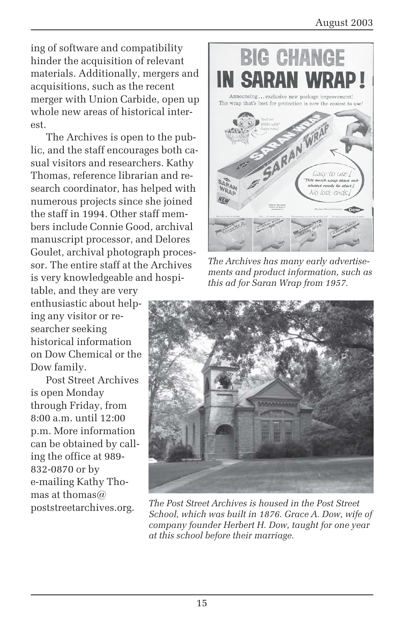ing of software and compatibility hinder the acquisition of relevant materials. Additionally, mergers and acquisitions, such as the recent merger with Union Carbide, open up whole new areas of historical interest.

The Archives is open to the public, and the staff encourages both casual visitors and researchers. Kathy Thomas, reference librarian and research coordinator, has helped with numerous projects since she joined the staff in 1994. Other staff members include Connie Good, archival manuscript processor, and Delores Goulet, archival photograph processor. The entire staff at the Archives is very knowledgeable and hospi-

table, and they are very enthusiastic about helping any visitor or researcher seeking historical information on Dow Chemical or the Dow family.

Post Street Archives is open Monday through Friday, from 8:00 a.m. until 12:00 p.m. More information can be obtained by calling the office at 989- 832-0870 or by e-mailing Kathy Thomas at thomas $@$ 



*The Archives has many early advertisements and product information, such as this ad for Saran Wrap from 1957.*



poststreetarchives.org. *The Post Street Archives is housed in the Post Street School, which was built in 1876. Grace A. Dow, wife of company founder Herbert H. Dow, taught for one year at this school before their marriage.*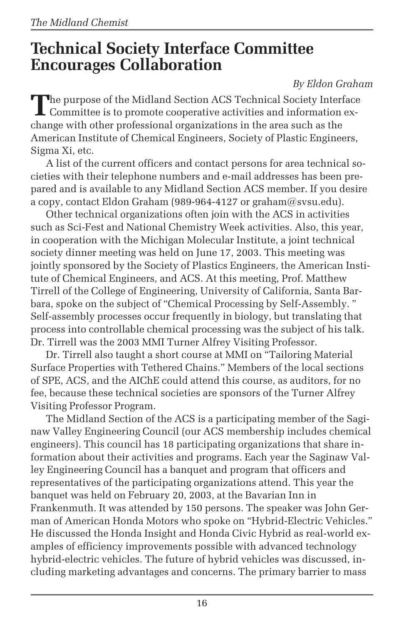### **Technical Society Interface Committee Encourages Collaboration**

#### *By Eldon Graham*

**T**he purpose of the Midland Section ACS Technical Society Interface **L** Committee is to promote cooperative activities and information exchange with other professional organizations in the area such as the American Institute of Chemical Engineers, Society of Plastic Engineers, Sigma Xi, etc.

A list of the current officers and contact persons for area technical societies with their telephone numbers and e-mail addresses has been prepared and is available to any Midland Section ACS member. If you desire a copy, contact Eldon Graham (989-964-4127 or graham $@$ svsu.edu).

Other technical organizations often join with the ACS in activities such as Sci-Fest and National Chemistry Week activities. Also, this year, in cooperation with the Michigan Molecular Institute, a joint technical society dinner meeting was held on June 17, 2003. This meeting was jointly sponsored by the Society of Plastics Engineers, the American Institute of Chemical Engineers, and ACS. At this meeting, Prof. Matthew Tirrell of the College of Engineering, University of California, Santa Barbara, spoke on the subject of "Chemical Processing by Self-Assembly. " Self-assembly processes occur frequently in biology, but translating that process into controllable chemical processing was the subject of his talk. Dr. Tirrell was the 2003 MMI Turner Alfrey Visiting Professor.

Dr. Tirrell also taught a short course at MMI on "Tailoring Material Surface Properties with Tethered Chains." Members of the local sections of SPE, ACS, and the AIChE could attend this course, as auditors, for no fee, because these technical societies are sponsors of the Turner Alfrey Visiting Professor Program.

The Midland Section of the ACS is a participating member of the Saginaw Valley Engineering Council (our ACS membership includes chemical engineers). This council has 18 participating organizations that share information about their activities and programs. Each year the Saginaw Valley Engineering Council has a banquet and program that officers and representatives of the participating organizations attend. This year the banquet was held on February 20, 2003, at the Bavarian Inn in Frankenmuth. It was attended by 150 persons. The speaker was John German of American Honda Motors who spoke on "Hybrid-Electric Vehicles." He discussed the Honda Insight and Honda Civic Hybrid as real-world examples of efficiency improvements possible with advanced technology hybrid-electric vehicles. The future of hybrid vehicles was discussed, including marketing advantages and concerns. The primary barrier to mass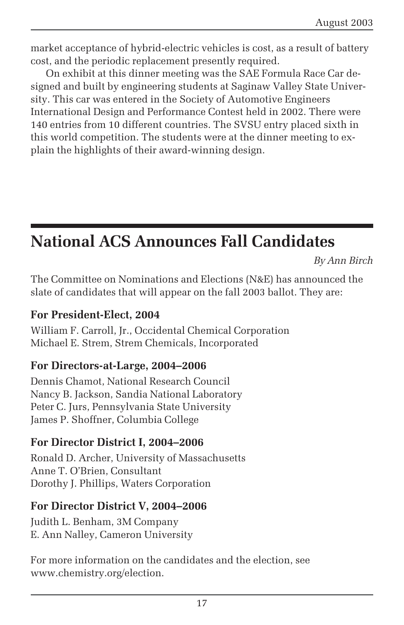market acceptance of hybrid-electric vehicles is cost, as a result of battery cost, and the periodic replacement presently required.

On exhibit at this dinner meeting was the SAE Formula Race Car designed and built by engineering students at Saginaw Valley State University. This car was entered in the Society of Automotive Engineers International Design and Performance Contest held in 2002. There were 140 entries from 10 different countries. The SVSU entry placed sixth in this world competition. The students were at the dinner meeting to explain the highlights of their award-winning design.

## **National ACS Announces Fall Candidates**

*By Ann Birch*

The Committee on Nominations and Elections (N&E) has announced the slate of candidates that will appear on the fall 2003 ballot. They are:

#### **For President-Elect, 2004**

William F. Carroll, Jr., Occidental Chemical Corporation Michael E. Strem, Strem Chemicals, Incorporated

#### **For Directors-at-Large, 2004–2006**

Dennis Chamot, National Research Council Nancy B. Jackson, Sandia National Laboratory Peter C. Jurs, Pennsylvania State University James P. Shoffner, Columbia College

#### **For Director District I, 2004–2006**

Ronald D. Archer, University of Massachusetts Anne T. O'Brien, Consultant Dorothy J. Phillips, Waters Corporation

#### **For Director District V, 2004–2006**

Judith L. Benham, 3M Company E. Ann Nalley, Cameron University

For more information on the candidates and the election, see www.chemistry.org/election.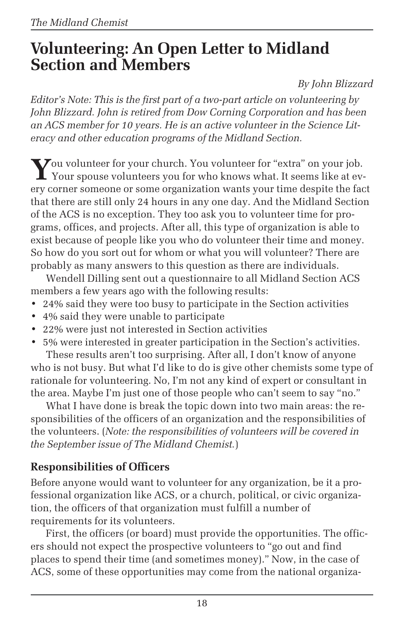### **Volunteering: An Open Letter to Midland Section and Members**

*By John Blizzard*

*Editor's Note: This is the first part of a two-part article on volunteering by John Blizzard. John is retired from Dow Corning Corporation and has been an ACS member for 10 years. He is an active volunteer in the Science Literacy and other education programs of the Midland Section.*

**Y**ou volunteer for your church. You volunteer for "extra" on your job. Your spouse volunteers you for who knows what. It seems like at every corner someone or some organization wants your time despite the fact that there are still only 24 hours in any one day. And the Midland Section of the ACS is no exception. They too ask you to volunteer time for programs, offices, and projects. After all, this type of organization is able to exist because of people like you who do volunteer their time and money. So how do you sort out for whom or what you will volunteer? There are probably as many answers to this question as there are individuals.

Wendell Dilling sent out a questionnaire to all Midland Section ACS members a few years ago with the following results:

- 24% said they were too busy to participate in the Section activities
- 4% said they were unable to participate
- 22% were just not interested in Section activities
- 5% were interested in greater participation in the Section's activities.

These results aren't too surprising. After all, I don't know of anyone who is not busy. But what I'd like to do is give other chemists some type of rationale for volunteering. No, I'm not any kind of expert or consultant in the area. Maybe I'm just one of those people who can't seem to say "no."

What I have done is break the topic down into two main areas: the responsibilities of the officers of an organization and the responsibilities of the volunteers. (*Note: the responsibilities of volunteers will be covered in the September issue of The Midland Chemist.*)

#### **Responsibilities of Officers**

Before anyone would want to volunteer for any organization, be it a professional organization like ACS, or a church, political, or civic organization, the officers of that organization must fulfill a number of requirements for its volunteers.

First, the officers (or board) must provide the opportunities. The officers should not expect the prospective volunteers to "go out and find places to spend their time (and sometimes money)." Now, in the case of ACS, some of these opportunities may come from the national organiza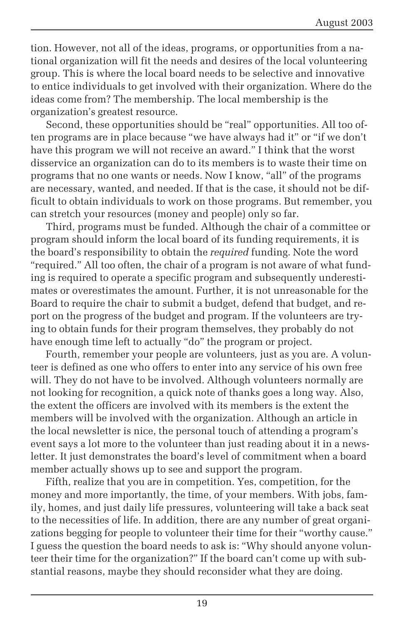tion. However, not all of the ideas, programs, or opportunities from a national organization will fit the needs and desires of the local volunteering group. This is where the local board needs to be selective and innovative to entice individuals to get involved with their organization. Where do the ideas come from? The membership. The local membership is the organization's greatest resource.

Second, these opportunities should be "real" opportunities. All too often programs are in place because "we have always had it" or "if we don't have this program we will not receive an award." I think that the worst disservice an organization can do to its members is to waste their time on programs that no one wants or needs. Now I know, "all" of the programs are necessary, wanted, and needed. If that is the case, it should not be difficult to obtain individuals to work on those programs. But remember, you can stretch your resources (money and people) only so far.

Third, programs must be funded. Although the chair of a committee or program should inform the local board of its funding requirements, it is the board's responsibility to obtain the *required* funding. Note the word "required." All too often, the chair of a program is not aware of what funding is required to operate a specific program and subsequently underestimates or overestimates the amount. Further, it is not unreasonable for the Board to require the chair to submit a budget, defend that budget, and report on the progress of the budget and program. If the volunteers are trying to obtain funds for their program themselves, they probably do not have enough time left to actually "do" the program or project.

Fourth, remember your people are volunteers*,* just as you are. A volunteer is defined as one who offers to enter into any service of his own free will. They do not have to be involved. Although volunteers normally are not looking for recognition, a quick note of thanks goes a long way. Also, the extent the officers are involved with its members is the extent the members will be involved with the organization. Although an article in the local newsletter is nice, the personal touch of attending a program's event says a lot more to the volunteer than just reading about it in a newsletter. It just demonstrates the board's level of commitment when a board member actually shows up to see and support the program.

Fifth, realize that you are in competition. Yes, competition, for the money and more importantly, the time, of your members. With jobs, family, homes, and just daily life pressures, volunteering will take a back seat to the necessities of life. In addition, there are any number of great organizations begging for people to volunteer their time for their "worthy cause." I guess the question the board needs to ask is: "Why should anyone volunteer their time for the organization?" If the board can't come up with substantial reasons, maybe they should reconsider what they are doing.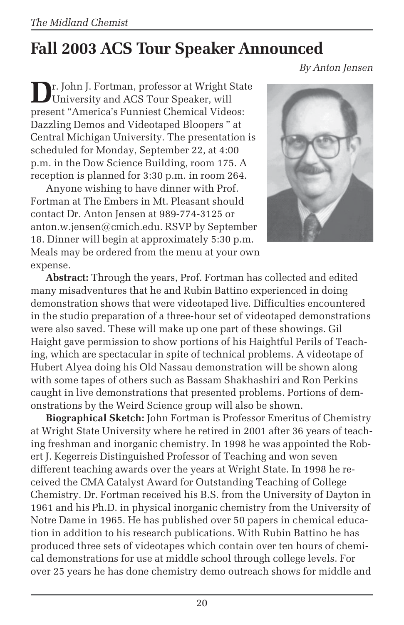# **Fall 2003 ACS Tour Speaker Announced**

*By Anton Jensen*

**D**r. John J. Fortman, professor at Wright State University and ACS Tour Speaker, will present "America's Funniest Chemical Videos: Dazzling Demos and Videotaped Bloopers " at Central Michigan University. The presentation is scheduled for Monday, September 22, at 4:00 p.m. in the Dow Science Building, room 175. A reception is planned for 3:30 p.m. in room 264.

Anyone wishing to have dinner with Prof. Fortman at The Embers in Mt. Pleasant should contact Dr. Anton Jensen at 989-774-3125 or anton.w.jensen@cmich.edu. RSVP by September 18. Dinner will begin at approximately 5:30 p.m. Meals may be ordered from the menu at your own expense.



**Abstract:** Through the years, Prof. Fortman has collected and edited many misadventures that he and Rubin Battino experienced in doing demonstration shows that were videotaped live. Difficulties encountered in the studio preparation of a three-hour set of videotaped demonstrations were also saved. These will make up one part of these showings. Gil Haight gave permission to show portions of his Haightful Perils of Teaching, which are spectacular in spite of technical problems. A videotape of Hubert Alyea doing his Old Nassau demonstration will be shown along with some tapes of others such as Bassam Shakhashiri and Ron Perkins caught in live demonstrations that presented problems. Portions of demonstrations by the Weird Science group will also be shown.

**Biographical Sketch:** John Fortman is Professor Emeritus of Chemistry at Wright State University where he retired in 2001 after 36 years of teaching freshman and inorganic chemistry. In 1998 he was appointed the Robert J. Kegerreis Distinguished Professor of Teaching and won seven different teaching awards over the years at Wright State. In 1998 he received the CMA Catalyst Award for Outstanding Teaching of College Chemistry. Dr. Fortman received his B.S. from the University of Dayton in 1961 and his Ph.D. in physical inorganic chemistry from the University of Notre Dame in 1965. He has published over 50 papers in chemical education in addition to his research publications. With Rubin Battino he has produced three sets of videotapes which contain over ten hours of chemical demonstrations for use at middle school through college levels. For over 25 years he has done chemistry demo outreach shows for middle and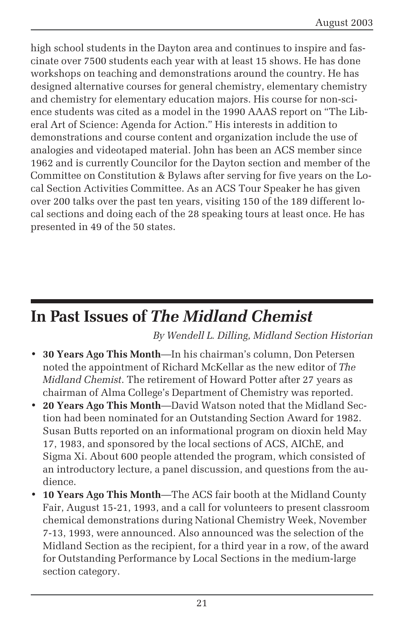high school students in the Dayton area and continues to inspire and fascinate over 7500 students each year with at least 15 shows. He has done workshops on teaching and demonstrations around the country. He has designed alternative courses for general chemistry, elementary chemistry and chemistry for elementary education majors. His course for non-science students was cited as a model in the 1990 AAAS report on "The Liberal Art of Science: Agenda for Action." His interests in addition to demonstrations and course content and organization include the use of analogies and videotaped material. John has been an ACS member since 1962 and is currently Councilor for the Dayton section and member of the Committee on Constitution & Bylaws after serving for five years on the Local Section Activities Committee. As an ACS Tour Speaker he has given over 200 talks over the past ten years, visiting 150 of the 189 different local sections and doing each of the 28 speaking tours at least once. He has presented in 49 of the 50 states.

### **In Past Issues of** *The Midland Chemist*

*By Wendell L. Dilling, Midland Section Historian*

- **30 Years Ago This Month**—In his chairman's column, Don Petersen noted the appointment of Richard McKellar as the new editor of *The Midland Chemist*. The retirement of Howard Potter after 27 years as chairman of Alma College's Department of Chemistry was reported.
- **20 Years Ago This Month**—David Watson noted that the Midland Section had been nominated for an Outstanding Section Award for 1982. Susan Butts reported on an informational program on dioxin held May 17, 1983, and sponsored by the local sections of ACS, AIChE, and Sigma Xi. About 600 people attended the program, which consisted of an introductory lecture, a panel discussion, and questions from the audience.
- **10 Years Ago This Month**—The ACS fair booth at the Midland County Fair, August 15-21, 1993, and a call for volunteers to present classroom chemical demonstrations during National Chemistry Week, November 7-13, 1993, were announced. Also announced was the selection of the Midland Section as the recipient, for a third year in a row, of the award for Outstanding Performance by Local Sections in the medium-large section category.